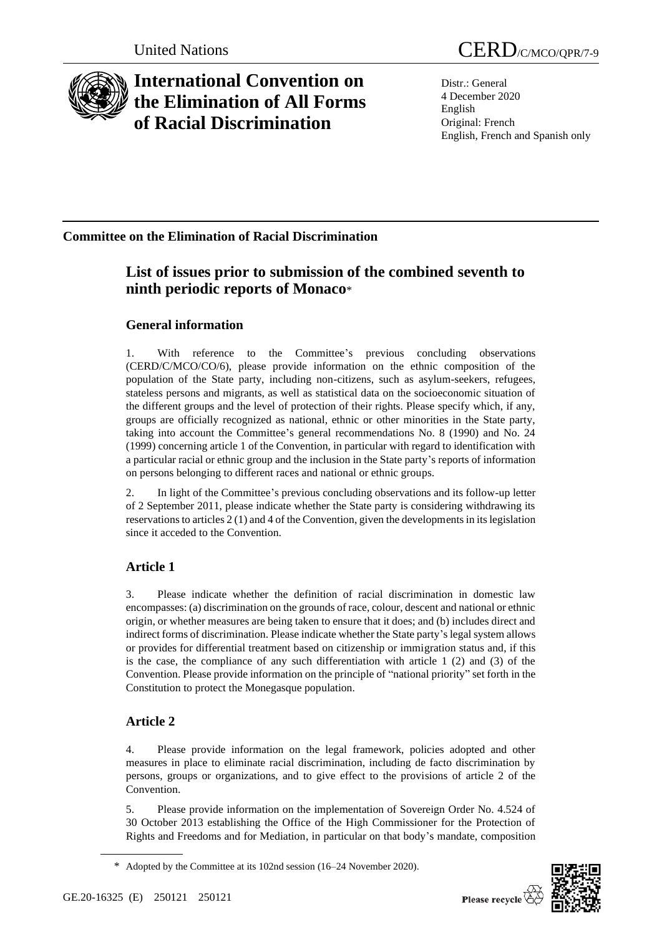

# **International Convention on the Elimination of All Forms of Racial Discrimination**

Distr.: General 4 December 2020 English Original: French English, French and Spanish only

# **Committee on the Elimination of Racial Discrimination**

# **List of issues prior to submission of the combined seventh to ninth periodic reports of Monaco**\*

### **General information**

1. With reference to the Committee's previous concluding observations (CERD/C/MCO/CO/6), please provide information on the ethnic composition of the population of the State party, including non-citizens, such as asylum-seekers, refugees, stateless persons and migrants, as well as statistical data on the socioeconomic situation of the different groups and the level of protection of their rights. Please specify which, if any, groups are officially recognized as national, ethnic or other minorities in the State party, taking into account the Committee's general recommendations No. 8 (1990) and No. 24 (1999) concerning article 1 of the Convention, in particular with regard to identification with a particular racial or ethnic group and the inclusion in the State party's reports of information on persons belonging to different races and national or ethnic groups.

2. In light of the Committee's previous concluding observations and its follow-up letter of 2 September 2011, please indicate whether the State party is considering withdrawing its reservations to articles 2 (1) and 4 of the Convention, given the developments in its legislation since it acceded to the Convention.

# **Article 1**

3. Please indicate whether the definition of racial discrimination in domestic law encompasses: (a) discrimination on the grounds of race, colour, descent and national or ethnic origin, or whether measures are being taken to ensure that it does; and (b) includes direct and indirect forms of discrimination. Please indicate whether the State party's legal system allows or provides for differential treatment based on citizenship or immigration status and, if this is the case, the compliance of any such differentiation with article 1 (2) and (3) of the Convention. Please provide information on the principle of "national priority" set forth in the Constitution to protect the Monegasque population.

# **Article 2**

4. Please provide information on the legal framework, policies adopted and other measures in place to eliminate racial discrimination, including de facto discrimination by persons, groups or organizations, and to give effect to the provisions of article 2 of the Convention.

5. Please provide information on the implementation of Sovereign Order No. 4.524 of 30 October 2013 establishing the Office of the High Commissioner for the Protection of Rights and Freedoms and for Mediation, in particular on that body's mandate, composition



<sup>\*</sup> Adopted by the Committee at its 102nd session (16–24 November 2020).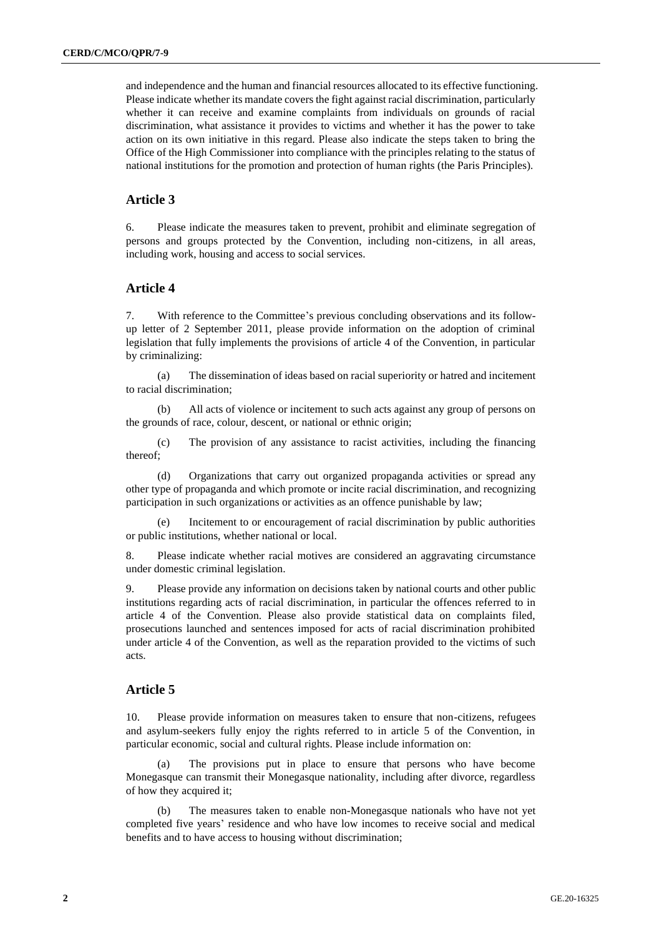and independence and the human and financial resources allocated to its effective functioning. Please indicate whether its mandate covers the fight against racial discrimination, particularly whether it can receive and examine complaints from individuals on grounds of racial discrimination, what assistance it provides to victims and whether it has the power to take action on its own initiative in this regard. Please also indicate the steps taken to bring the Office of the High Commissioner into compliance with the principles relating to the status of national institutions for the promotion and protection of human rights (the Paris Principles).

#### **Article 3**

6. Please indicate the measures taken to prevent, prohibit and eliminate segregation of persons and groups protected by the Convention, including non-citizens, in all areas, including work, housing and access to social services.

#### **Article 4**

7. With reference to the Committee's previous concluding observations and its followup letter of 2 September 2011, please provide information on the adoption of criminal legislation that fully implements the provisions of article 4 of the Convention, in particular by criminalizing:

(a) The dissemination of ideas based on racial superiority or hatred and incitement to racial discrimination;

(b) All acts of violence or incitement to such acts against any group of persons on the grounds of race, colour, descent, or national or ethnic origin;

(c) The provision of any assistance to racist activities, including the financing thereof;

(d) Organizations that carry out organized propaganda activities or spread any other type of propaganda and which promote or incite racial discrimination, and recognizing participation in such organizations or activities as an offence punishable by law;

Incitement to or encouragement of racial discrimination by public authorities or public institutions, whether national or local.

8. Please indicate whether racial motives are considered an aggravating circumstance under domestic criminal legislation.

9. Please provide any information on decisions taken by national courts and other public institutions regarding acts of racial discrimination, in particular the offences referred to in article 4 of the Convention. Please also provide statistical data on complaints filed, prosecutions launched and sentences imposed for acts of racial discrimination prohibited under article 4 of the Convention, as well as the reparation provided to the victims of such acts.

#### **Article 5**

10. Please provide information on measures taken to ensure that non-citizens, refugees and asylum-seekers fully enjoy the rights referred to in article 5 of the Convention, in particular economic, social and cultural rights. Please include information on:

(a) The provisions put in place to ensure that persons who have become Monegasque can transmit their Monegasque nationality, including after divorce, regardless of how they acquired it;

(b) The measures taken to enable non-Monegasque nationals who have not yet completed five years' residence and who have low incomes to receive social and medical benefits and to have access to housing without discrimination;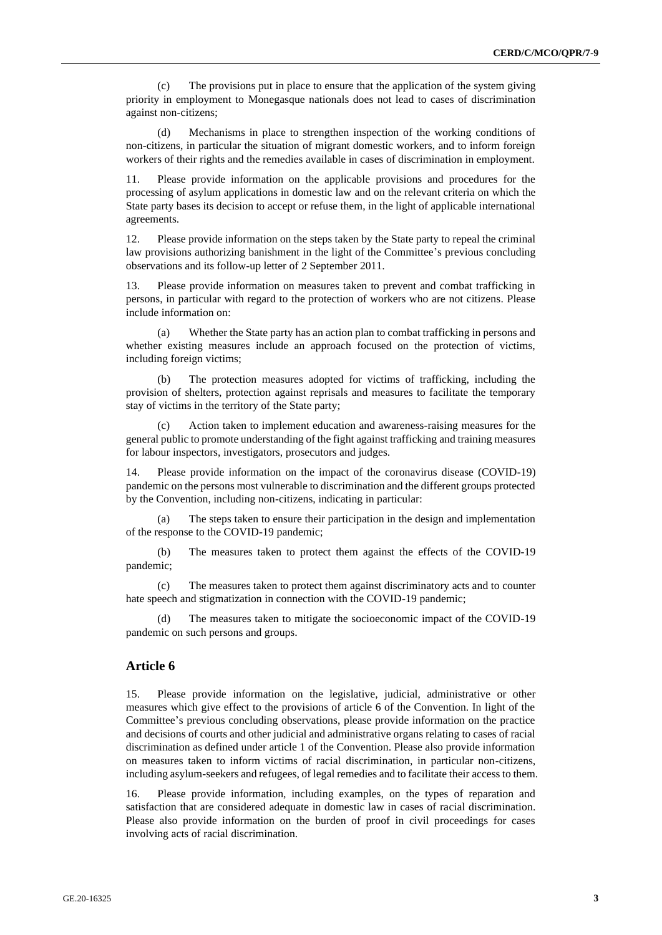(c) The provisions put in place to ensure that the application of the system giving priority in employment to Monegasque nationals does not lead to cases of discrimination against non-citizens;

(d) Mechanisms in place to strengthen inspection of the working conditions of non-citizens, in particular the situation of migrant domestic workers, and to inform foreign workers of their rights and the remedies available in cases of discrimination in employment.

11. Please provide information on the applicable provisions and procedures for the processing of asylum applications in domestic law and on the relevant criteria on which the State party bases its decision to accept or refuse them, in the light of applicable international agreements.

12. Please provide information on the steps taken by the State party to repeal the criminal law provisions authorizing banishment in the light of the Committee's previous concluding observations and its follow-up letter of 2 September 2011.

13. Please provide information on measures taken to prevent and combat trafficking in persons, in particular with regard to the protection of workers who are not citizens. Please include information on:

(a) Whether the State party has an action plan to combat trafficking in persons and whether existing measures include an approach focused on the protection of victims, including foreign victims;

(b) The protection measures adopted for victims of trafficking, including the provision of shelters, protection against reprisals and measures to facilitate the temporary stay of victims in the territory of the State party;

(c) Action taken to implement education and awareness-raising measures for the general public to promote understanding of the fight against trafficking and training measures for labour inspectors, investigators, prosecutors and judges.

14. Please provide information on the impact of the coronavirus disease (COVID-19) pandemic on the persons most vulnerable to discrimination and the different groups protected by the Convention, including non-citizens, indicating in particular:

(a) The steps taken to ensure their participation in the design and implementation of the response to the COVID-19 pandemic;

(b) The measures taken to protect them against the effects of the COVID-19 pandemic;

(c) The measures taken to protect them against discriminatory acts and to counter hate speech and stigmatization in connection with the COVID-19 pandemic;

The measures taken to mitigate the socioeconomic impact of the COVID-19 pandemic on such persons and groups.

#### **Article 6**

15. Please provide information on the legislative, judicial, administrative or other measures which give effect to the provisions of article 6 of the Convention. In light of the Committee's previous concluding observations, please provide information on the practice and decisions of courts and other judicial and administrative organs relating to cases of racial discrimination as defined under article 1 of the Convention. Please also provide information on measures taken to inform victims of racial discrimination, in particular non-citizens, including asylum-seekers and refugees, of legal remedies and to facilitate their access to them.

16. Please provide information, including examples, on the types of reparation and satisfaction that are considered adequate in domestic law in cases of racial discrimination. Please also provide information on the burden of proof in civil proceedings for cases involving acts of racial discrimination.